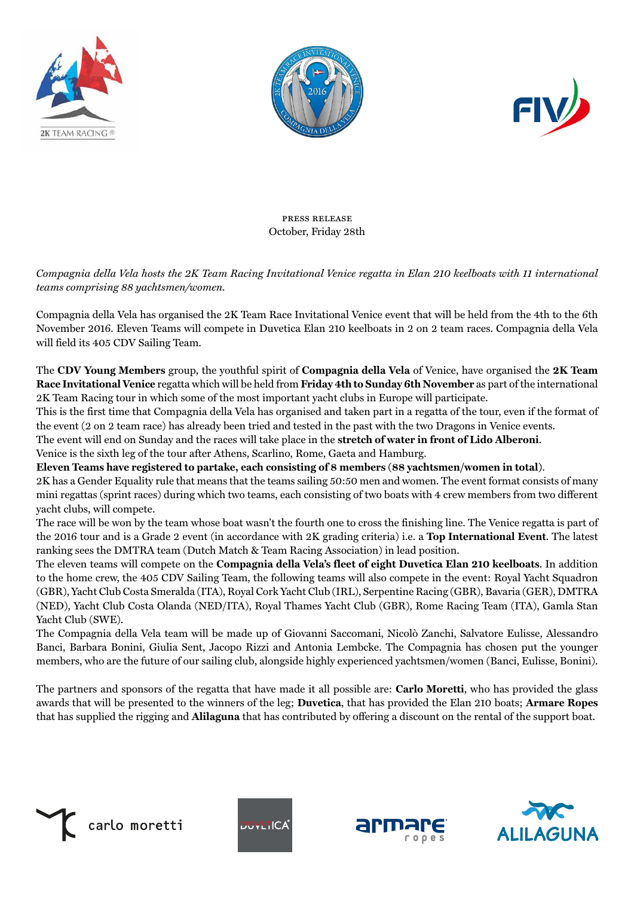





press release October, Friday 28th

# *Compagnia della Vela hosts the 2K Team Racing Invitational Venice regatta in Elan 210 keelboats with 11 international teams comprising 88 yachtsmen/women.*

Compagnia della Vela has organised the 2K Team Race Invitational Venice event that will be held from the 4th to the 6th November 2016. Eleven Teams will compete in Duvetica Elan 210 keelboats in 2 on 2 team races. Compagnia della Vela will field its 405 CDV Sailing Team.

The **CDV Young Members** group, the youthful spirit of **Compagnia della Vela** of Venice, have organised the **2K Team Race Invitational Venice** regatta which will be held from **Friday 4th to Sunday 6th November** as part of the international 2K Team Racing tour in which some of the most important yacht clubs in Europe will participate.

This is the first time that Compagnia della Vela has organised and taken part in a regatta of the tour, even if the format of the event (2 on 2 team race) has already been tried and tested in the past with the two Dragons in Venice events.

The event will end on Sunday and the races will take place in the **stretch of water in front of Lido Alberoni**.

Venice is the sixth leg of the tour after Athens, Scarlino, Rome, Gaeta and Hamburg.

**Eleven Teams have registered to partake, each consisting of 8 members (88 yachtsmen/women in total)**.

2K has a Gender Equality rule that means that the teams sailing 50:50 men and women. The event format consists of many mini regattas (sprint races) during which two teams, each consisting of two boats with 4 crew members from two different yacht clubs, will compete.

The race will be won by the team whose boat wasn't the fourth one to cross the finishing line. The Venice regatta is part of the 2016 tour and is a Grade 2 event (in accordance with 2K grading criteria) i.e. a **Top International Event**. The latest ranking sees the DMTRA team (Dutch Match & Team Racing Association) in lead position.

The eleven teams will compete on the **Compagnia della Vela's fleet of eight Duvetica Elan 210 keelboats**. In addition to the home crew, the 405 CDV Sailing Team, the following teams will also compete in the event: Royal Yacht Squadron (GBR), Yacht Club Costa Smeralda (ITA), Royal Cork Yacht Club (IRL), Serpentine Racing (GBR), Bavaria (GER), DMTRA (NED), Yacht Club Costa Olanda (NED/ITA), Royal Thames Yacht Club (GBR), Rome Racing Team (ITA), Gamla Stan Yacht Club (SWE).

The Compagnia della Vela team will be made up of Giovanni Saccomani, Nicolò Zanchi, Salvatore Eulisse, Alessandro Banci, Barbara Bonini, Giulia Sent, Jacopo Rizzi and Antonia Lembcke. The Compagnia has chosen put the younger members, who are the future of our sailing club, alongside highly experienced yachtsmen/women (Banci, Eulisse, Bonini).

The partners and sponsors of the regatta that have made it all possible are: **Carlo Moretti**, who has provided the glass awards that will be presented to the winners of the leg; **Duvetica**, that has provided the Elan 210 boats; **Armare Ropes** that has supplied the rigging and **Alilaguna** that has contributed by offering a discount on the rental of the support boat.